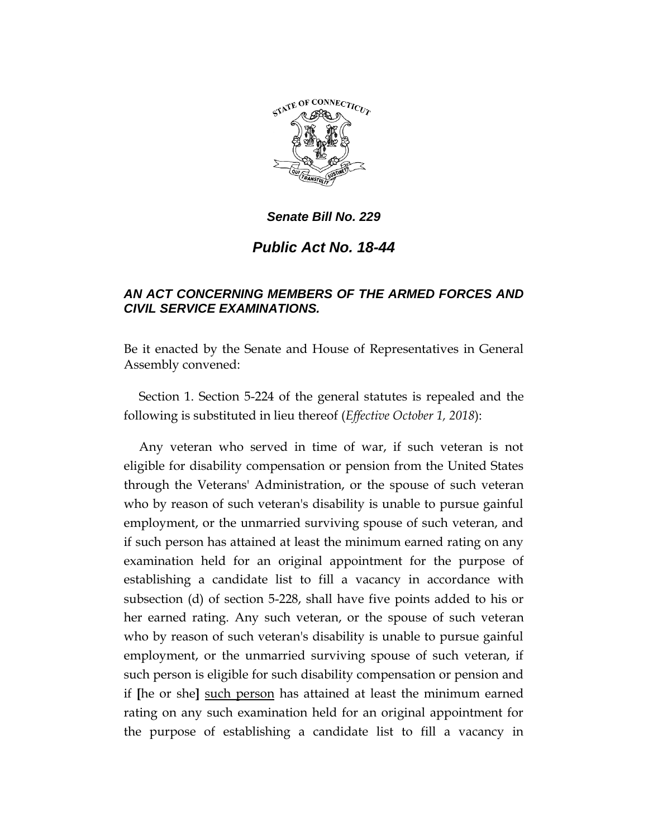

## *Senate Bill No. 229*

## *Public Act No. 18-44*

## *AN ACT CONCERNING MEMBERS OF THE ARMED FORCES AND CIVIL SERVICE EXAMINATIONS.*

Be it enacted by the Senate and House of Representatives in General Assembly convened:

Section 1. Section 5-224 of the general statutes is repealed and the following is substituted in lieu thereof (*Effective October 1, 2018*):

Any veteran who served in time of war, if such veteran is not eligible for disability compensation or pension from the United States through the Veterans' Administration, or the spouse of such veteran who by reason of such veteran's disability is unable to pursue gainful employment, or the unmarried surviving spouse of such veteran, and if such person has attained at least the minimum earned rating on any examination held for an original appointment for the purpose of establishing a candidate list to fill a vacancy in accordance with subsection (d) of section 5-228, shall have five points added to his or her earned rating. Any such veteran, or the spouse of such veteran who by reason of such veteran's disability is unable to pursue gainful employment, or the unmarried surviving spouse of such veteran, if such person is eligible for such disability compensation or pension and if **[**he or she**]** such person has attained at least the minimum earned rating on any such examination held for an original appointment for the purpose of establishing a candidate list to fill a vacancy in